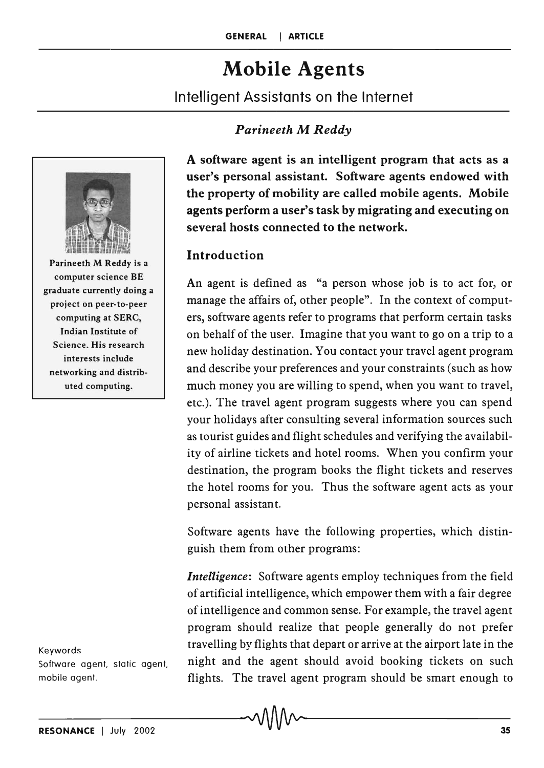# **Mobile Agents**

Intelligent Assistants on the Internet

## *Parineeth* M *Reddy*



Parineeth M Reddy is a computer science BE graduate currently doing a project on peer-to-peer computing at SERC, Indian Institute of Science. His research interests include networking and distributed computing.

Keywords Software agent, static agent, mobile agent.

A software agent is an intelligent program that acts as a user's personal assistant. Software agents endowed with the property of mobility are called mobile agents. Mobile agents perform a user's task by migrating and executing on several hosts connected to the network.

## Introduction

An agent is defined as "a person whose job is to act for, or manage the affairs of, other people". In the context of computers, software agents refer to programs that perform certain tasks on behalf of the user. Imagine that you want to go on a trip to a new holiday destination. You contact your travel agent program and describe your preferences and your constraints (such as how much money you are willing to spend, when you want to travel, etc.). The travel agent program suggests where you can spend your holidays after consulting several information sources such as tourist guides and flight schedules and verifying the availability of airline tickets and hotel rooms. When you confirm your destination, the program books the flight tickets and reserves the hotel rooms for you. Thus the software agent acts as your personal assistant.

Software agents have the following properties, which distinguish them from other programs:

*Intelligence:* Software agents employ techniques from the field of artificial intelligence, which empower them with a fair degree of intelligence and common sense. For example, the travel agent program should realize that people generally do not prefer travelling by flights that depart or arrive at the airport late in the night and the agent should avoid booking tickets on such flights. The travel agent program should be smart enough to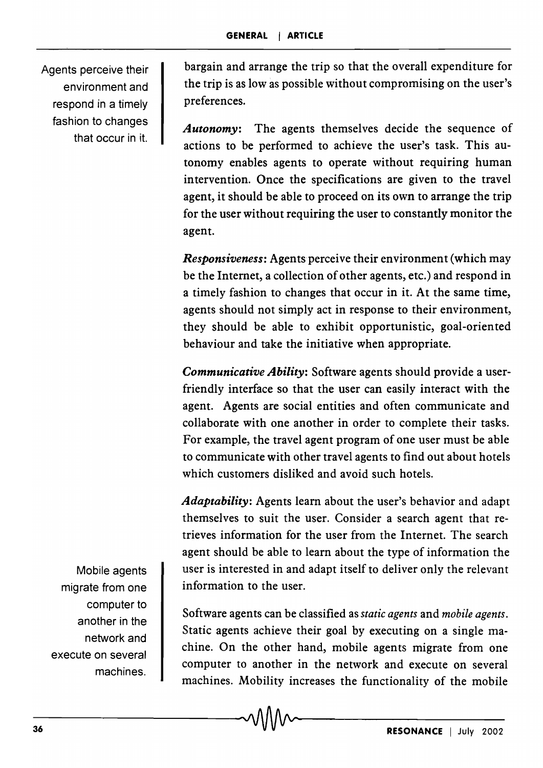Agents perceive their environment and respond in a timely fashion to changes that occur in it.

bargain and arrange the trip so that the overall expenditure for the trip is as low as possible without compromising on the user's preferences.

*Autonomy:* The agents themselves decide the sequence of actions to be performed to achieve the user's task. This autonomy enables agents to operate without requiring human intervention. Once the specifications are given to the travel agent, it should be able to proceed on its own to arrange the trip for the user without requiring the user to constantly monitor the agent.

*Responsiveness:* Agents perceive their environment (which may be the Internet, a collection of other agents, etc.) and respond in a timely fashion to changes that occur in it. At the same time, agents should not simply act in response to their environment, they should be able to exhibit opportunistic, goal-oriented behaviour and take the initiative when appropriate.

*Communicative Ability:* Software agents should provide a userfriendly interface so that the user can easily interact with the agent. Agents are social entities and often communicate and collaborate with one another in order to complete their tasks. For example, the travel agent program of one user must be able to communicate with other travel agents to find out about hotels which customers disliked and avoid such hotels.

*Adaptability:* Agents learn about the user's behavior and adapt themselves to suit the user. Consider a search agent that retrieves information for the user from the Internet. The search agent should be able to learn about the type of information the user is interested in and adapt itself to deliver only the relevant information to the user.

Software agents can be classified as *static agents* and *mobile agents.*  Static agents achieve their goal by executing on a single machine. On the other hand, mobile agents migrate from one computer to another in the network and execute on several machines. Mobility increases the functionality of the mobile

Mobile agents migrate from one computer to another in the network and execute on several machines.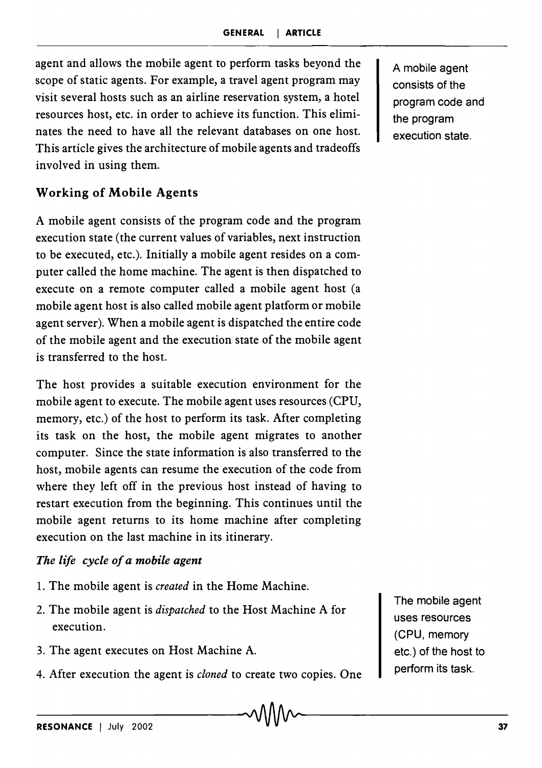agent and allows the mobile agent to perform tasks beyond the scope of static agents. For example, a travel agent program may visit several hosts such as an airline reservation system, a hotel resources host, etc. in order to achieve its function. This eliminates the need to have all the relevant databases on one host. This article gives the architecture of mobile agents and tradeoffs involved in using them.

A mobile agent consists of the program code and the program execution state.

## Working of Mobile Agents

A mobile agent consists of the program code and the program execution state (the current values of variables, next instruction to be executed, etc.). Initially a mobile agent resides on a computer called the home machine. The agent is then dispatched to execute on a remote computer called a mobile agent host (a mobile agent host is also called mobile agent platform or mobile agent server). When a mobile agent is dispatched the entire code of the mobile agent and the execution state of the mobile agent is transferred to the host.

The host provides a suitable execution environment for the mobile agent to execute. The mobile agent uses resources (CPU, memory, etc.) of the host to perform its task. After completing its task on the host, the mobile agent migrates to another computer. Since the state information is also transferred to the host, mobile agents can resume the execution of the code from where they left off in the previous host instead of having to restart execution from the beginning. This continues until the mobile agent returns to its home machine after completing execution on the last machine in its itinerary.

#### *The life cycle of a mobile agent*

- 1. The mobile agent is *created* in the Home Machine.
- 2. The mobile agent is *dispatched* to the Host Machine A for execution.
- 3. The agent executes on Host Machine A.
- 4. After execution the agent is *cloned* to create two copies. One

The mobile agent uses resources (CPU, memory etc.) of the host to perform its task.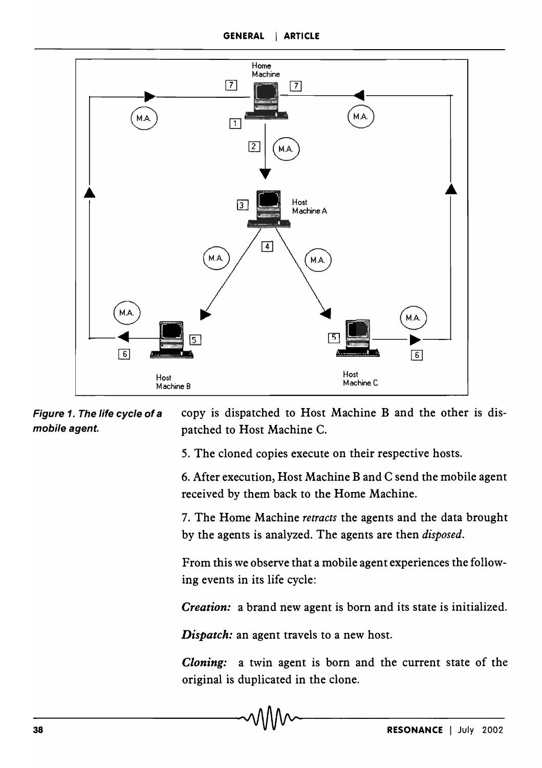

Figure 1. The life cycle of a copy is dispatched to Host Machine B and the other is dismobile agent. **patched to Host Machine C.** 

5. The cloned copies execute on their respective hosts.

6. After execution, Host Machine Band C send the mobile agent received by them back to the Home Machine.

7. The Home Machine *retracts* the agents and the data brought by the agents is analyzed. The agents are then *disposed.* 

From this we observe that a mobile agent experiences the following events in its life cycle:

*Creation:* a brand new agent is born and its state is initialized.

*Dispatch:* an agent travels to a new host.

*Cloning:* a twin agent is born and the current state of the original is duplicated in the clone.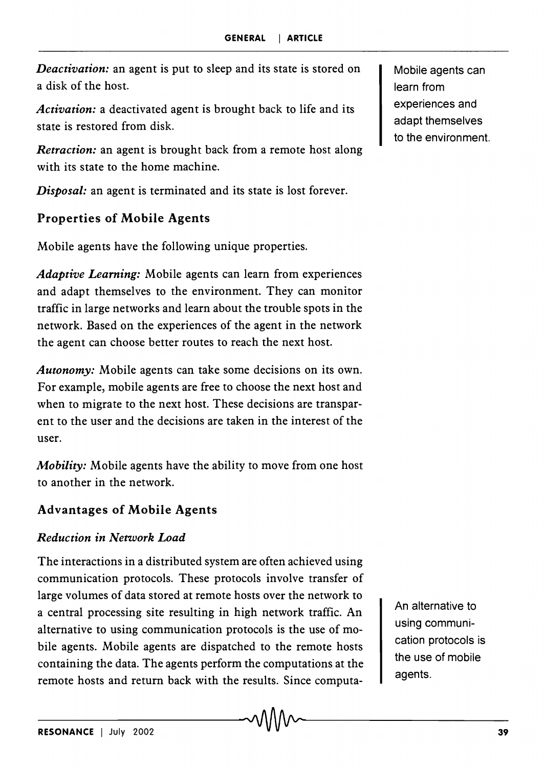*Deactivation:* an agent is put to sleep and its state is stored on a disk of the host.

*Activation:* a deactivated agent is brought back to life and its state is restored from disk.

*Retraction:* an agent is brought back from a remote host along with its state to the home machine.

*Disposal:* an agent is terminated and its state is lost forever.

#### Properties of Mobile Agents

Mobile agents have the following unique properties.

*Adaptive Learning:* Mobile agents can learn from experiences and adapt themselves to the environment. They can monitor traffic in large networks and learn about the trouble spots in the network. Based on the experiences of the agent in the network the agent can choose better routes to reach the next host.

*Autonomy:* Mobile agents can take some decisions on its own. For example, mobile agents are free to choose the next host and when to migrate to the next host. These decisions are transparent to the user and the decisions are taken in the interest of the user.

*Mobility:* Mobile agents have the ability to move from one host to another in the network.

#### Advantages of Mobile Agents

#### *Reduction in Network Load*

The interactions in a distributed system are often achieved using communication protocols. These protocols involve transfer of large volumes of data stored at remote hosts over the network to a central processing site resulting in high network traffic. An alternative to using communication protocols is the use of mobile agents. Mobile agents are dispatched to the remote hosts containing the data. The agents perform the computations at the remote hosts and return back with the results. Since computaMobile agents can learn from experiences and adapt themselves to the environment.

An alternative to using communication protocols is the use of mobile agents.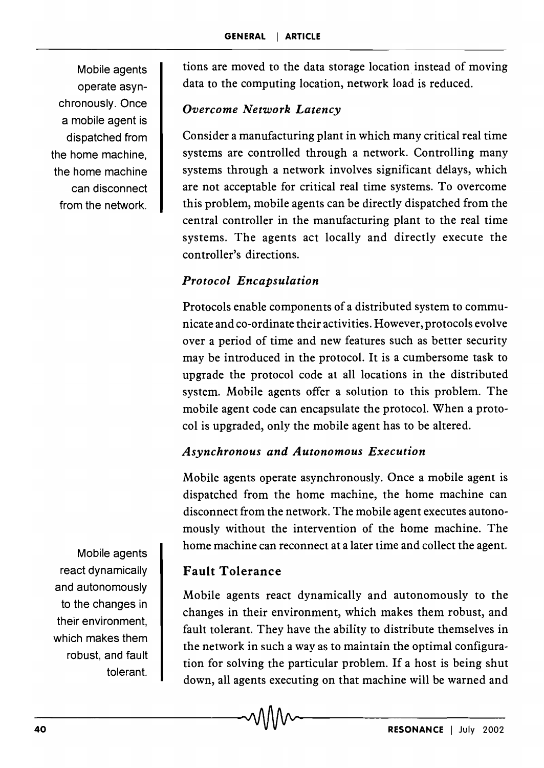Mobile agents operate asynchronously. Once a mobile agent is dispatched from the home machine, the home machine can disconnect from the network.

tions are moved to the data storage location instead of moving data to the computing location, network load is reduced.

### *Overcome Network Latency*

Consider a manufacturing plant in which many critical real time systems are controlled through a network. Controlling many systems through a network involves significant delays, which are not acceptable for critical real time systems. To overcome this problem, mobile agents can be directly dispatched from the central controller in the manufacturing plant to the real time systems. The agents act locally and directly execute the controller's directions.

## *Protocol Encapsulation*

Protocols enable components of a distributed system to communicate and co-ordinate their activities. However, protocols evolve over a period of time and new features such as better security may be introduced in the protocol. It is a cumbersome task to upgrade the protocol code at all locations in the distributed system. Mobile agents offer a solution to this problem. The mobile agent code can encapsulate the protocol. When a protocol is upgraded, only the mobile agent has to be altered.

## *Asynchronous and Autonomous Execution*

Mobile agents operate asynchronously. Once a mobile agent is dispatched from the home machine, the home machine can disconnect from the network. The mobile agent executes autonomously without the intervention of the home machine. The home machine can reconnect at a later time and collect the agent.

## Fault Tolerance

Mobile agents react dynamically and autonomously to the changes in their environment, which makes them robust, and fault tolerant. They have the ability to distribute themselves in the network in such a way as to maintain the optimal configuration for solving the particular problem. If a host is being shut down, all agents executing on that machine will be warned and

Mobile agents react dynamically and autonomously to the changes in their environment, which makes them robust, and fault tolerant.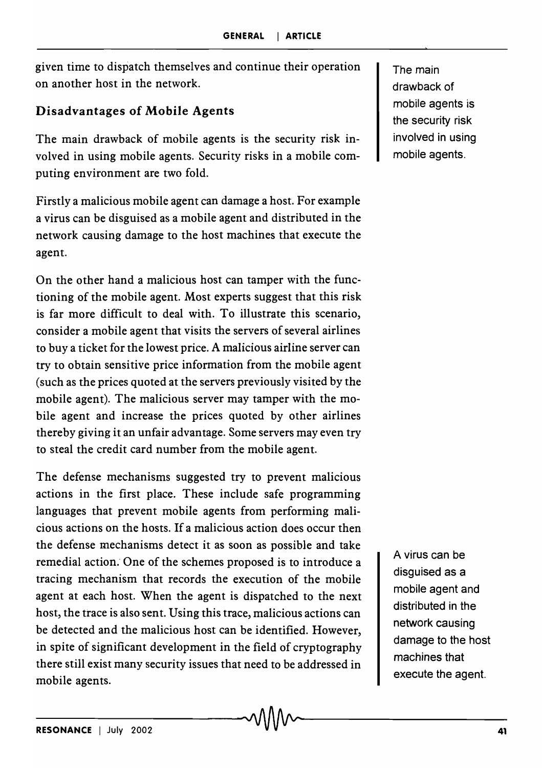given time to dispatch themselves and continue their operation on another host in the network.

#### Disadvantages of Mobile Agents

The main drawback of mobile agents is the security risk involved in using mobile agents. Security risks in a mobile computing environment are two fold.

Firstly a malicious mobile agent can damage a host. For example a virus can be disguised as a mobile agent and distributed in the network causing damage to the host machines that execute the agent.

On the other hand a malicious host can tamper with the functioning of the mobile agent. Most experts suggest that this risk is far more difficult to deal with. To illustrate this scenario, consider a mobile agent that visits the servers of several airlines to buy a ticket for the lowest price. A malicious airline server can try to obtain sensitive price information from the mobile agent (such as the prices quoted at the servers previously visited by the mobile agent). The malicious server may tamper with the mobile agent and increase the prices quoted by other airlines thereby giving it an unfair advantage. Some servers may even try to steal the credit card number from the mobile agent.

The defense mechanisms suggested try to prevent malicious actions in the first place. These include safe programming languages that prevent mobile agents from performing malicious actions on the hosts. If a malicious action does occur then the defense mechanisms detect it as soon as possible and take remedial action. One of the schemes proposed is to introduce a tracing mechanism that records the execution of the mobile agent at each host. When the agent is dispatched to the next host, the trace is also sent. Using this trace, malicious actions can be detected and the malicious host can be identified. However, in spite of significant development in the field of cryptography there still exist many security issues that need to be addressed in mobile agents.

The main drawback of mobile agents is the security risk involved in using mobile agents.

A virus can be disguised as a mobile agent and distributed in the network causing damage to the host machines that execute the agent.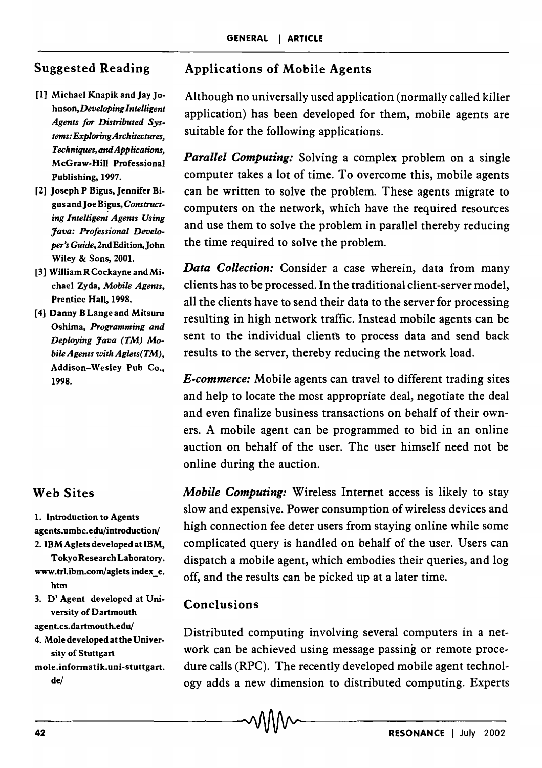## Suggested Reading

- [1] Michael Knapik and Jay Jo*hnson,Developing Intelligent Agents for Distributed Systems: ExploringArchitectures, Techniques, andApplications,*  McGraw-Hill Professional Publishing, 1997.
- [2] Joseph P Bigus, Jennifer Bigus and Joe Bigus, *Constructing Intelligent Agents Using Java: Professional Developer's Guide,* 2nd Edition,John Wiley & Sons, 2001.
- [3] William R Cockayne and Michael Zyda, *Mobile Agents,*  Prentice Hall, 1998.
- [4] Danny B Lange and Mitsuru Oshima, *Programming and Deploying Java (TM) Mobile Agents with Aglets(TM),*  Addison-Wesley Pub Co., 1998.

#### Web Sites

1. Introduction to Agents agents.umbc.edu/introduction/ 2. IBM Aglets developed at IBM, Tokyo Research Laboratory.

www.trl.ibm.com/aglets index\_e. htm

3. D' Agent developed at University of Dartmouth

agent.cs.dartmouth.edu/

4. Mole developed at the University of Stuttgart mole.informatik.uni-stuttgart.

*del* 

### Applications of Mobile Agents

Although no universally used application (normally called killer application) has been developed for them, mobile agents are suitable for the following applications.

*Parallel Computing:* Solving a complex problem on a single computer takes a lot of time. To overcome this, mobile agents can be written to solve the problem. These agents migrate to computers on the network, which have the required resources and use them to solve the problem in parallel thereby reducing the time required to solve the problem.

*Data Collection:* Consider a case wherein, data from many clients has to be processed. In the traditional client-server model, all the clients have to send their data to the server for processing resulting in high network traffic. Instead mobile agents can be sent to the individual clients to process data and send back results to the server, thereby reducing the network load.

*E-commerce:* Mobile agents can travel to different trading sites and help to locate the most appropriate deal, negotiate the deal and even finalize business transactions on behalf of their owners. A mobile agent can be programmed to bid in an online auction on behalf of the user. The user himself need not be online during the auction.

*Mobile Computing:* Wireless Internet access is likely to stay slow and expensive. Power consumption of wireless devices and high connection fee deter users from staying online while some complicated query is handled on behalf of the user. Users can dispatch a mobile agent, which embodies their queries, and log off, and the results can be picked up at a later time.

#### Conclusions

Distributed computing involving several computers in a network can be achieved using message passing or remote procedure calls (RPC). The recently developed mobile agent technology adds a new dimension to distributed computing. Experts